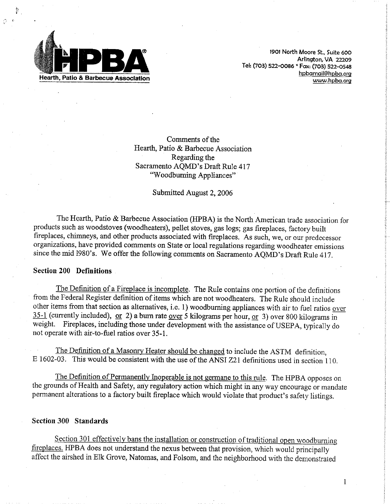

1901 North Moore St., Suite 600 Arlington, VA 22209 Tel: (703) 522-0086 \* Fax: (703) 522-0548 hpbamail@hpba.org www.hpba.org

Comments of the Hearth, Patio & Barbecue Association Regarding the Sacramento AQMD's Draft Rule 417 "Woodburning Appliances"

#### Submitted August 2, 2006

The Hearth, Patio & Barbecue Association (HPBA) is the North American trade association for products such as woodstoves (woodheaters), pellet stoves, gas logs; gas fireplaces, factory built fireplaces, chimneys, and other products associated with fireplaces. As such, we, or our predecessor organizations, have provided comments on State or local regulations regarding woodheater emissions since the mid 1980's. We offer the following comments on Sacramento AQMD's Draft Rule 417.

### **Section 200 Definitions**

The Definition of a Fireplace is incomplete. The Rule contains one portion of the definitions from the Federal Register definition of items which are not woodheaters. The Rule should include other items from that section as alternatives, i.e. 1) woodburning appliances with air to fuel ratios over 35-1 (currently included), or 2) a burn rate over 5 kilograms per hour, or 3) over 800 kilograms in weight. Fireplaces, including those under development with the assistance of USEPA, typically do not operate with air-to-fuel ratios over 35-1.

The Definition of a Masonry Heater should be changed to include the ASTM definition, E 1602-03. This would be consistent with the use of the ANSI Z21 definitions used in section 110.

The Definition of Permanently Inoperable is not germane to this rule. The HPBA opposes on the grounds of Health and Safety, any regulatory action which might in any way encourage or mandate permanent alterations to a factory built fireplace which would violate that product's safety listings.

### Section 300 Standards

Section 301 effectively bans the installation or construction of traditional open woodburning fireplaces. HPBA does not understand the nexus between that provision, which would principally affect the airshed in Elk Grove, Natomas, and Folsom, and the neighborhood with the demonstrated

1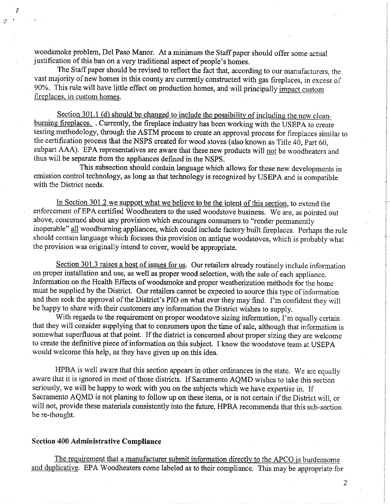woodsmoke problem, Del Paso Manor. At a minimum the Staff paper should offer some actual justification of this ban on a very traditional aspect of people's homes.

The Staff paper should be revised to reflect the fact that, according to our manufacturers, the vast majority of new homes in this county are currently constructed with gas fireplaces, in excess of 90%. This rule will have little effect on production homes, and will principally impact custom fireplaces, in custom homes.

Section 301.1 (d) should be changed to include the possibility of including the new cleanburning fireplaces. Currently, the fireplace industry has been working with the USEPA to create testing methodology, through the ASTM process to create an approval process for fireplaces similar to the certification process that the NSPS created for wood stoves (also known as Title 40, Part 60, subpart AAA). EPA representatives are aware that these new products will not be woodheaters and thus will be separate from the appliances defined in the NSPS.

This subsection should contain language which allows for these new developments in emission control technology, as long as that technology is recognized by USEPA and is compatible with the District needs.

In Section 301.2 we support what we believe to be the intent of this section, to extend the enforcement of EPA certified Woodheaters to the used woodstove business. We are, as pointed out above, concerned about any provision which encourages consumers to "render permanently inoperable" all woodburning appliances, which could include factory built fireplaces. Perhaps the rule should contain language which focuses this provision on antique woodstoves, which is probably what the provision was originally intend to cover, would be appropriate.

Section 301.3 raises a host of issues for us. Our retailers already routinely include information on proper installation and use, as well as proper wood selection, with the sale of each appliance. Information on the Health Effects of woodsmoke and proper weatherization methods for the home must be supplied by the District. Our retailers cannot be expected to source this type of information and then seek the approval of the District's PIO on what ever they may find. I'm confident they will be happy to share with their customers any information the District wishes to supply.

With regards to the requirement on proper woodstove sizing information, I'm equally certain that they will consider supplying that to consumers upon the time of sale, although that information is somewhat superfluous at that point. If the district is concerned about proper sizing they are welcome to create the definitive piece of information on this subject. I know the woodstove team at USEPA would welcome this help, as they have given up on this idea.

HPBA is well aware that this section appears in other ordinances in the state. We are equally aware that it is ignored in most of those districts. If Sacramento AQMD wishes to take this section seriously, we will be happy to work with you on the subjects which we have expertise in. If Sacramento AQMD is not planing to follow up on these items, or is not certain if the District will, or will not, provide these materials consistently into the future, HPBA recommends that this sub-section be re-thought.

### **Section 400 Administrative Compliance**

The requirement that a manufacturer submit information directly to the APCO is burdensome and duplicative. EPA Woodheaters come labeled as to their compliance. This may be appropriate for

 $\overline{2}$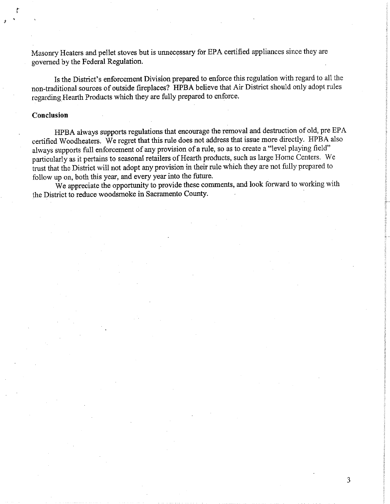Masonry Heaters and pellet stoves but is unnecessary for EPA certified appliances since they are governed by the Federal Regulation.

Is the District's enforcement Division prepared to enforce this regulation with regard to all the non-traditional sources of outside fireplaces? HPBA believe that Air District should only adopt rules regarding Hearth Products which they are fully prepared to enforce.

### Conclusion

HPBA always supports regulations that encourage the removal and destruction of old, pre EPA certified Woodheaters. We regret that this rule does not address that issue more directly. HPBA also always supports full enforcement of any provision of a rule, so as to create a "level playing field" particularly as it pertains to seasonal retailers of Hearth products, such as large Home Centers. We trust that the District will not adopt any provision in their rule which they are not fully prepared to follow up on, both this year, and every year into the future.

We appreciate the opportunity to provide these comments, and look forward to working with the District to reduce woodsmoke in Sacramento County.

3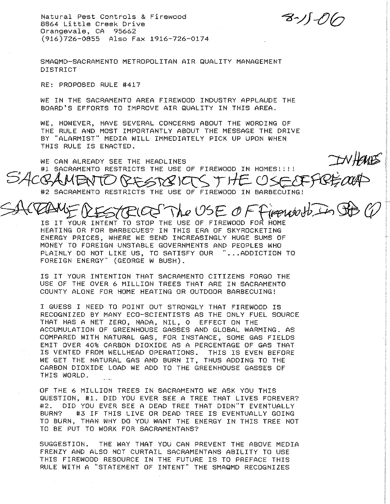Natural Pest Controls & Firewood 8864 Little Creek Drive Orangevale, CA 95662 (916)726-0855 Also Fax 1916-726-0174

る・ソリ・O

SMAQMD-SACRAMENTO METROPOLITAN AIR QUALITY MANAGEMENT **DISTRICT** 

RE: PROPOSED RULE #417

WE IN THE SACRAMENTO AREA FIREWOOD INDUSTRY APPLAUDE THE BOARD'S EFFORTS TO IMPROVE AIR QUALITY IN THIS AREA.

WE, HOWEVER, HAVE SEVERAL CONCERNS ABOUT THE WORDING OF THE RULE AND MOST IMPORTANTLY ABOUT THE MESSAGE THE DRIVE BY "ALARMIST" MEDIA WILL IMMEDIATELY PICK UP UPON WHEN THIS RULE IS ENACTED.

TWHAT'S WE CAN ALREADY SEE THE HEADLINES #1 SACRAMENTO RESTRICTS THE USE OF FIREWOOD IN HOMES!!!! SACQAMENTO #2 SACRAMENTO RESTRICTS THE USE OF FIREWOOD IN BARBECUING!

The USE OF Firewoods in Sto C ESTRICO

IS IT YOUR INTENT TO STOP THE USE OF FIREWOOD FOR HOME HEATING OR FOR BARBECUES? IN THIS ERA OF SKYROCKETING ENERGY PRICES, WHERE WE SEND INCREASINGLY HUGE SUMS OF MONEY TO FOREIGN UNSTABLE GOVERNMENTS AND PEOPLES WHO PLAINLY DO NOT LIKE US, TO SATISFY OUR "... ADDICTION TO FOREIGN ENERGY" (GEORGE W BUSH).

IS IT YOUR INTENTION THAT SACRAMENTO CITIZENS FORGO THE USE OF THE OVER 6 MILLION TREES THAT ARE IN SACRAMENTO COUNTY ALONE FOR HOME HEATING OR OUTDOOR BARBECUING!

I GUESS I NEED TO POINT OUT STRONGLY THAT FIREWOOD IS RECOGNIZED BY MANY ECO-SCIENTISTS AS THE ONLY FUEL SOURCE THAT HAS A NET ZERO, NADA, NIL, O EFFECT ON THE ACCUMULATION OF GREENHOUSE GASSES AND GLOBAL WARMING. AS COMPARED WITH NATURAL GAS, FOR INSTANCE, SOME GAS FIELDS EMIT OVER 40% CARBON DIOXIDE AS A PERCENTAGE OF GAS THAT IS VENTED FROM WELLHEAD OPERATIONS. THIS IS EVEN BEFORE WE GET THE NATURAL GAS AND BURN IT, THUS ADDING TO THE CARBON DIOXIDE LOAD WE ADD TO THE GREENHOUSE GASSES OF THIS WORLD.

OF THE 6 MILLION TREES IN SACRAMENTO WE ASK YOU THIS QUESTION, #1, DID YOU EVER SEE A TREE THAT LIVES FOREVER? #2. DID YOU EVER SEE A DEAD TREE THAT DIDN"T EVENTUALLY #3 IF THIS LIVE OR DEAD TREE IS EVENTUALLY GOING BURN? TO BURN, THAN WHY DO YOU WANT THE ENERGY IN THIS TREE NOT TO BE PUT TO WORK FOR SACRAMENTANS?

SUGGESTION. THE WAY THAT YOU CAN PREVENT THE ABOVE MEDIA FRENZY AND ALSO NOT CURTAIL SACRAMENTANS ABILITY TO USE THIS FIREWOOD RESOURCE IN THE FUTURE IS TO PREFACE THIS RULE WITH A "STATEMENT OF INTENT" THE SMAQMD RECOGNIZES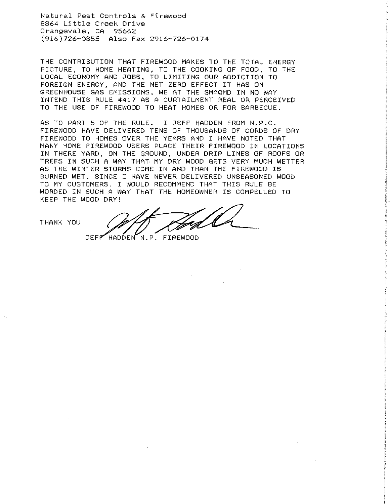Natural Pest Controls & Firewood 8864 Little Creek Drive Orangevale, CA 95662 (916)726-0855 Also Fax 2916-726-0174

THE CONTRIBUTION THAT FIREWOOD MAKES TO THE TOTAL ENERGY PICTURE, TO HOME HEATING, TO THE COOKING OF FOOD, TO THE LOCAL ECONOMY AND JOBS, TO LIMITING OUR ADDICTION TO FOREIGN ENERGY, AND THE NET ZERO EFFECT IT HAS ON GREENHOUSE GAS EMISSIONS. WE AT THE SMAQMD IN NO WAY INTEND THIS RULE #417 AS A CURTAILMENT REAL OR PERCEIVED TO THE USE OF FIREWOOD TO HEAT HOMES OR FOR BARBECUE.

AS TO PART 5 OF THE RULE. I JEFF HADDEN FROM N.P.C. FIREWOOD HAVE DELIVERED TENS OF THOUSANDS OF CORDS OF DRY FIREWOOD TO HOMES OVER THE YEARS AND I HAVE NOTED THAT MANY HOME FIREWOOD USERS PLACE THEIR FIREWOOD IN LOCATIONS IN THERE YARD, ON THE GROUND, UNDER DRIP LINES OF ROOFS OR TREES IN SUCH A WAY THAT MY DRY WOOD GETS VERY MUCH WETTER AS THE WINTER STORMS COME IN AND THAN THE FIREWOOD IS BURNED WET, SINCE I HAVE NEVER DELIVERED UNSEASONED WOOD TO MY CUSTOMERS. I WOULD RECOMMEND THAT THIS RULE BE WORDED IN SUCH A WAY THAT THE HOMEOWNER IS COMPELLED TO KEEP THE WOOD DRY!

THANK YOU

**JEFF** HADDEN N.P. FIREWOOD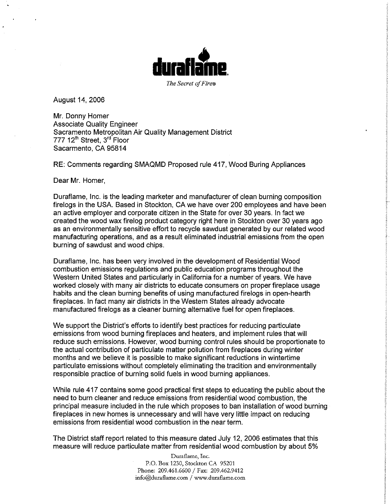

August 14, 2006

Mr. Donny Homer **Associate Quality Engineer** Sacramento Metropolitan Air Quality Management District 777 12<sup>th</sup> Street, 3<sup>rd</sup> Floor Sacarmento, CA 95814

RE: Comments regarding SMAQMD Proposed rule 417, Wood Buring Appliances

Dear Mr. Homer,

Duraflame, Inc. is the leading marketer and manufacturer of clean burning composition firelogs in the USA. Based in Stockton, CA we have over 200 employees and have been an active employer and corporate citizen in the State for over 30 years. In fact we created the wood wax firelog product category right here in Stockton over 30 years ago as an environmentally sensitive effort to recycle sawdust generated by our related wood manufacturing operations, and as a result eliminated industrial emissions from the open burning of sawdust and wood chips.

Duraflame, Inc. has been very involved in the development of Residential Wood combustion emissions regulations and public education programs throughout the Western United States and particularly in California for a number of years. We have worked closely with many air districts to educate consumers on proper fireplace usage habits and the clean burning benefits of using manufactured firelogs in open-hearth fireplaces. In fact many air districts in the Western States already advocate manufactured firelogs as a cleaner burning alternative fuel for open fireplaces.

We support the District's efforts to identify best practices for reducing particulate emissions from wood burning fireplaces and heaters, and implement rules that will reduce such emissions. However, wood burning control rules should be proportionate to the actual contribution of particulate matter pollution from fireplaces during winter months and we believe it is possible to make significant reductions in wintertime particulate emissions without completely eliminating the tradition and environmentally responsible practice of burning solid fuels in wood burning appliances.

While rule 417 contains some good practical first steps to educating the public about the need to burn cleaner and reduce emissions from residential wood combustion, the principal measure included in the rule which proposes to ban installation of wood burning fireplaces in new homes is unnecessary and will have very little impact on reducing emissions from residential wood combustion in the near term.

The District staff report related to this measure dated July 12, 2006 estimates that this measure will reduce particulate matter from residential wood combustion by about 5%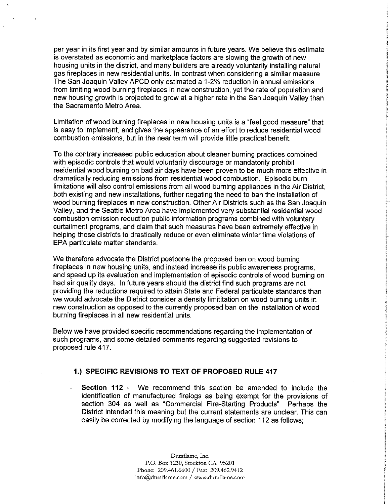per year in its first year and by similar amounts in future years. We believe this estimate is overstated as economic and marketplace factors are slowing the growth of new housing units in the district, and many builders are already voluntarily installing natural gas fireplaces in new residential units. In contrast when considering a similar measure The San Joaquin Valley APCD only estimated a 1-2% reduction in annual emissions from limiting wood burning fireplaces in new construction, yet the rate of population and new housing growth is projected to grow at a higher rate in the San Joaquin Valley than the Sacramento Metro Area.

Limitation of wood burning fireplaces in new housing units is a "feel good measure" that is easy to implement, and gives the appearance of an effort to reduce residential wood combustion emissions, but in the near term will provide little practical benefit.

To the contrary increased public education about cleaner burning practices combined with episodic controls that would voluntarily discourage or mandatorily prohibit residential wood burning on bad air days have been proven to be much more effective in dramatically reducing emissions from residential wood combustion. Episodic burn limitations will also control emissions from all wood burning appliances in the Air District, both existing and new installations, further negating the need to ban the installation of wood burning fireplaces in new construction. Other Air Districts such as the San Joaquin Valley, and the Seattle Metro Area have implemented very substantial residential wood combustion emission reduction public information programs combined with voluntary curtailment programs, and claim that such measures have been extremely effective in helping those districts to drastically reduce or even eliminate winter time violations of EPA particulate matter standards.

We therefore advocate the District postpone the proposed ban on wood burning fireplaces in new housing units, and instead increase its public awareness programs. and speed up its evaluation and implementation of episodic controls of wood burning on had air quality days. In future years should the district find such programs are not providing the reductions required to attain State and Federal particulate standards than we would advocate the District consider a density limititation on wood burning units in new construction as opposed to the currently proposed ban on the installation of wood burning fireplaces in all new residential units.

Below we have provided specific recommendations regarding the implementation of such programs, and some detailed comments regarding suggested revisions to proposed rule 417.

### 1.) SPECIFIC REVISIONS TO TEXT OF PROPOSED RULE 417

**Section 112 -** We recommend this section be amended to include the identification of manufactured firelogs as being exempt for the provisions of section 304 as well as "Commercial Fire-Starting Products" Perhaps the District intended this meaning but the current statements are unclear. This can easily be corrected by modifying the language of section 112 as follows;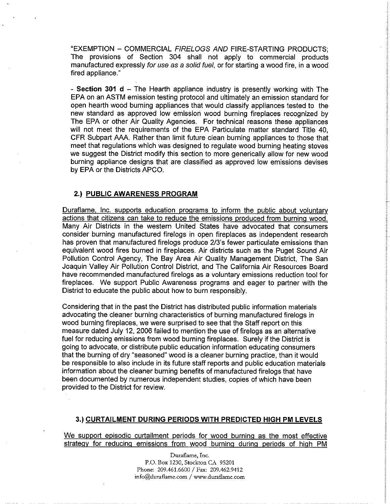"EXEMPTION - COMMERCIAL FIRELOGS AND FIRE-STARTING PRODUCTS: The provisions of Section 304 shall not apply to commercial products manufactured expressly for use as a solid fuel, or for starting a wood fire, in a wood fired appliance."

- Section 301 d  $-$  The Hearth appliance industry is presently working with The EPA on an ASTM emission testing protocol and ultimately an emission standard for open hearth wood burning appliances that would classify appliances tested to the new standard as approved low emission wood burning fireplaces recognized by The EPA or other Air Quality Agencies. For technical reasons these appliances will not meet the requirements of the EPA Particulate matter standard Title 40. CFR Subpart AAA. Rather than limit future clean burning appliances to those that meet that regulations which was designed to regulate wood burning heating stoves we suggest the District modify this section to more generically allow for new wood burning appliance designs that are classified as approved low emissions devises by EPA or the Districts APCO.

## 2.) PUBLIC AWARENESS PROGRAM

Duraflame, Inc. supports education programs to inform the public about voluntary actions that citizens can take to reduce the emissions produced from burning wood. Many Air Districts in the western United States have advocated that consumers consider burning manufactured firelogs in open fireplaces as independent research has proven that manufactured firelogs produce 2/3's fewer particulate emissions than equivalent wood fires burned in fireplaces. Air districts such as the Puget Sound Air Pollution Control Agency, The Bay Area Air Quality Management District. The San Joaquin Valley Air Pollution Control District, and The California Air Resources Board have recommended manufactured firelogs as a voluntary emissions reduction tool for fireplaces. We support Public Awareness programs and eager to partner with the District to educate the public about how to burn responsibly.

Considering that in the past the District has distributed public information materials advocating the cleaner burning characteristics of burning manufactured firelogs in wood burning fireplaces, we were surprised to see that the Staff report on this measure dated July 12, 2006 failed to mention the use of firelogs as an alternative fuel for reducing emissions from wood burning fireplaces. Surely if the District is going to advocate, or distribute public education information educating consumers that the burning of dry "seasoned" wood is a cleaner burning practice, than it would be responsible to also include in its future staff reports and public education materials information about the cleaner burning benefits of manufactured firelogs that have been documented by numerous independent studies, copies of which have been provided to the District for review.

#### 3.) CURTAILMENT DURING PERIODS WITH PREDICTED HIGH PM LEVELS

We support episodic curtailment periods for wood burning as the most effective strategy for reducing emissions from wood burning during periods of high PM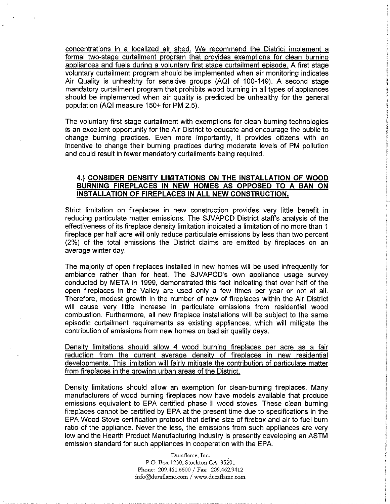concentrations in a localized air shed. We recommend the District implement a formal two-stage curtailment program that provides exemptions for clean burning appliances and fuels during a voluntary first stage curtailment episode. A first stage voluntary curtailment program should be implemented when air monitoring indicates Air Quality is unhealthy for sensitive groups (AQI of 100-149). A second stage mandatory curtailment program that prohibits wood burning in all types of appliances should be implemented when air quality is predicted be unhealthy for the general population (AQI measure 150+ for PM 2.5).

The voluntary first stage curtailment with exemptions for clean burning technologies is an excellent opportunity for the Air District to educate and encourage the public to change burning practices. Even more importantly, it provides citizens with an incentive to change their burning practices during moderate levels of PM pollution and could result in fewer mandatory curtailments being required.

## 4.) CONSIDER DENSITY LIMITATIONS ON THE INSTALLATION OF WOOD BURNING FIREPLACES IN NEW HOMES AS OPPOSED TO A BAN ON INSTALLATION OF FIREPLACES IN ALL NEW CONSTRUCTION.

Strict limitation on fireplaces in new construction provides very little benefit in reducing particulate matter emissions. The SJVAPCD District staff's analysis of the effectiveness of its fireplace density limitation indicated a limitation of no more than 1 fireplace per half acre will only reduce particulate emissions by less than two percent (2%) of the total emissions the District claims are emitted by fireplaces on an average winter day.

The majority of open fireplaces installed in new homes will be used infrequently for ambiance rather than for heat. The SJVAPCD's own appliance usage survey conducted by META in 1999, demonstrated this fact indicating that over half of the open fireplaces in the Valley are used only a few times per year or not at all. Therefore, modest growth in the number of new of fireplaces within the Air District will cause very little increase in particulate emissions from residential wood combustion. Furthermore, all new fireplace installations will be subject to the same episodic curtailment requirements as existing appliances, which will mitigate the contribution of emissions from new homes on bad air quality days.

Density limitations should allow 4 wood burning fireplaces per acre as a fair reduction from the current average density of fireplaces in new residential developments. This limitation will fairly mitigate the contribution of particulate matter from fireplaces in the growing urban areas of the District.

Density limitations should allow an exemption for clean-burning fireplaces. Many manufacturers of wood burning fireplaces now have models available that produce emissions equivalent to EPA certified phase II wood stoves. These clean burning fireplaces cannot be certified by EPA at the present time due to specifications in the EPA Wood Stove certification protocol that define size of firebox and air to fuel burn ratio of the appliance. Never the less, the emissions from such appliances are very low and the Hearth Product Manufacturing Industry is presently developing an ASTM emission standard for such appliances in cooperation with the EPA.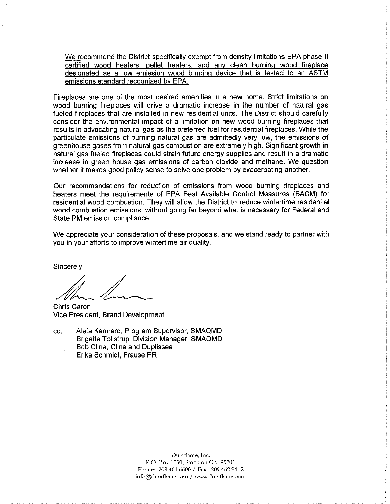We recommend the District specifically exempt from density limitations EPA phase II certified wood heaters, pellet heaters, and any clean burning wood fireplace designated as a low emission wood burning device that is tested to an ASTM emissions standard recognized by EPA.

Fireplaces are one of the most desired amenities in a new home. Strict limitations on wood burning fireplaces will drive a dramatic increase in the number of natural gas fueled fireplaces that are installed in new residential units. The District should carefully consider the environmental impact of a limitation on new wood burning fireplaces that results in advocating natural gas as the preferred fuel for residential fireplaces. While the particulate emissions of burning natural gas are admittedly very low, the emissions of greenhouse gases from natural gas combustion are extremely high. Significant growth in natural gas fueled fireplaces could strain future energy supplies and result in a dramatic increase in green house gas emissions of carbon dioxide and methane. We question whether it makes good policy sense to solve one problem by exacerbating another.

Our recommendations for reduction of emissions from wood burning fireplaces and heaters meet the requirements of EPA Best Available Control Measures (BACM) for residential wood combustion. They will allow the District to reduce wintertime residential wood combustion emissions, without going far beyond what is necessary for Federal and State PM emission compliance.

We appreciate your consideration of these proposals, and we stand ready to partner with you in your efforts to improve wintertime air quality.

Sincerely,

Chris Caron Vice President, Brand Development

Aleta Kennard, Program Supervisor, SMAQMD CC. Brigette Tollstrup, Division Manager, SMAQMD Bob Cline, Cline and Duplissea Erika Schmidt, Frause PR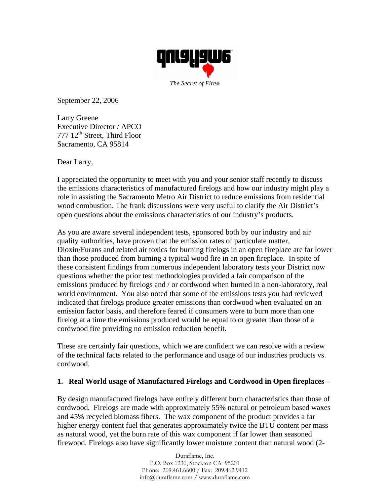

September 22, 2006

Larry Greene Executive Director / APCO 777 12<sup>th</sup> Street, Third Floor Sacramento, CA 95814

Dear Larry,

I appreciated the opportunity to meet with you and your senior staff recently to discuss the emissions characteristics of manufactured firelogs and how our industry might play a role in assisting the Sacramento Metro Air District to reduce emissions from residential wood combustion. The frank discussions were very useful to clarify the Air District's open questions about the emissions characteristics of our industry's products.

As you are aware several independent tests, sponsored both by our industry and air quality authorities, have proven that the emission rates of particulate matter, Dioxin/Furans and related air toxics for burning firelogs in an open fireplace are far lower than those produced from burning a typical wood fire in an open fireplace. In spite of these consistent findings from numerous independent laboratory tests your District now questions whether the prior test methodologies provided a fair comparison of the emissions produced by firelogs and / or cordwood when burned in a non-laboratory, real world environment. You also noted that some of the emissions tests you had reviewed indicated that firelogs produce greater emissions than cordwood when evaluated on an emission factor basis, and therefore feared if consumers were to burn more than one firelog at a time the emissions produced would be equal to or greater than those of a cordwood fire providing no emission reduction benefit.

These are certainly fair questions, which we are confident we can resolve with a review of the technical facts related to the performance and usage of our industries products vs. cordwood.

# **1. Real World usage of Manufactured Firelogs and Cordwood in Open fireplaces –**

By design manufactured firelogs have entirely different burn characteristics than those of cordwood. Firelogs are made with approximately 55% natural or petroleum based waxes and 45% recycled biomass fibers. The wax component of the product provides a far higher energy content fuel that generates approximately twice the BTU content per mass as natural wood, yet the burn rate of this wax component if far lower than seasoned firewood. Firelogs also have significantly lower moisture content than natural wood (2-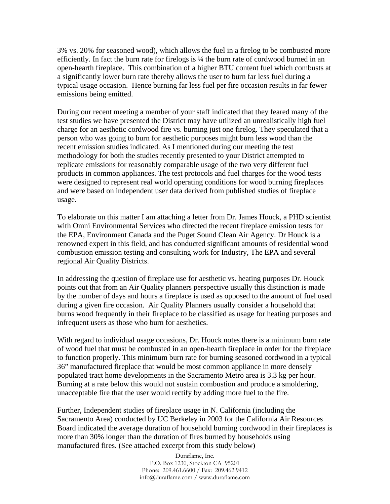3% vs. 20% for seasoned wood), which allows the fuel in a firelog to be combusted more efficiently. In fact the burn rate for firelogs is ¼ the burn rate of cordwood burned in an open-hearth fireplace. This combination of a higher BTU content fuel which combusts at a significantly lower burn rate thereby allows the user to burn far less fuel during a typical usage occasion. Hence burning far less fuel per fire occasion results in far fewer emissions being emitted.

During our recent meeting a member of your staff indicated that they feared many of the test studies we have presented the District may have utilized an unrealistically high fuel charge for an aesthetic cordwood fire vs. burning just one firelog. They speculated that a person who was going to burn for aesthetic purposes might burn less wood than the recent emission studies indicated. As I mentioned during our meeting the test methodology for both the studies recently presented to your District attempted to replicate emissions for reasonably comparable usage of the two very different fuel products in common appliances. The test protocols and fuel charges for the wood tests were designed to represent real world operating conditions for wood burning fireplaces and were based on independent user data derived from published studies of fireplace usage.

To elaborate on this matter I am attaching a letter from Dr. James Houck, a PHD scientist with Omni Environmental Services who directed the recent fireplace emission tests for the EPA, Environment Canada and the Puget Sound Clean Air Agency. Dr Houck is a renowned expert in this field, and has conducted significant amounts of residential wood combustion emission testing and consulting work for Industry, The EPA and several regional Air Quality Districts.

In addressing the question of fireplace use for aesthetic vs. heating purposes Dr. Houck points out that from an Air Quality planners perspective usually this distinction is made by the number of days and hours a fireplace is used as opposed to the amount of fuel used during a given fire occasion. Air Quality Planners usually consider a household that burns wood frequently in their fireplace to be classified as usage for heating purposes and infrequent users as those who burn for aesthetics.

With regard to individual usage occasions, Dr. Houck notes there is a minimum burn rate of wood fuel that must be combusted in an open-hearth fireplace in order for the fireplace to function properly. This minimum burn rate for burning seasoned cordwood in a typical 36" manufactured fireplace that would be most common appliance in more densely populated tract home developments in the Sacramento Metro area is 3.3 kg per hour. Burning at a rate below this would not sustain combustion and produce a smoldering, unacceptable fire that the user would rectify by adding more fuel to the fire.

Further, Independent studies of fireplace usage in N. California (including the Sacramento Area) conducted by UC Berkeley in 2003 for the California Air Resources Board indicated the average duration of household burning cordwood in their fireplaces is more than 30% longer than the duration of fires burned by households using manufactured fires. (See attached excerpt from this study below)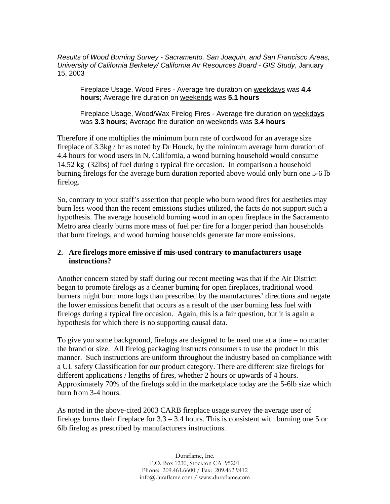*Results of Wood Burning Survey - Sacramento, San Joaquin, and San Francisco Areas, University of California Berkeley/ California Air Resources Board - GIS Study*, January 15, 2003

Fireplace Usage, Wood Fires - Average fire duration on weekdays was **4.4 hours**; Average fire duration on weekends was **5.1 hours**

Fireplace Usage, Wood/Wax Firelog Fires - Average fire duration on weekdays was **3.3 hours**; Average fire duration on weekends was **3.4 hours** 

Therefore if one multiplies the minimum burn rate of cordwood for an average size fireplace of 3.3kg / hr as noted by Dr Houck, by the minimum average burn duration of 4.4 hours for wood users in N. California, a wood burning household would consume 14.52 kg (32lbs) of fuel during a typical fire occasion. In comparison a household burning firelogs for the average burn duration reported above would only burn one 5-6 lb firelog.

So, contrary to your staff's assertion that people who burn wood fires for aesthetics may burn less wood than the recent emissions studies utilized, the facts do not support such a hypothesis. The average household burning wood in an open fireplace in the Sacramento Metro area clearly burns more mass of fuel per fire for a longer period than households that burn firelogs, and wood burning households generate far more emissions.

## **2. Are firelogs more emissive if mis-used contrary to manufacturers usage instructions?**

Another concern stated by staff during our recent meeting was that if the Air District began to promote firelogs as a cleaner burning for open fireplaces, traditional wood burners might burn more logs than prescribed by the manufactures' directions and negate the lower emissions benefit that occurs as a result of the user burning less fuel with firelogs during a typical fire occasion. Again, this is a fair question, but it is again a hypothesis for which there is no supporting causal data.

To give you some background, firelogs are designed to be used one at a time – no matter the brand or size. All firelog packaging instructs consumers to use the product in this manner. Such instructions are uniform throughout the industry based on compliance with a UL safety Classification for our product category. There are different size firelogs for different applications / lengths of fires, whether 2 hours or upwards of 4 hours. Approximately 70% of the firelogs sold in the marketplace today are the 5-6lb size which burn from 3-4 hours.

As noted in the above-cited 2003 CARB fireplace usage survey the average user of firelogs burns their fireplace for 3.3 – 3.4 hours. This is consistent with burning one 5 or 6lb firelog as prescribed by manufacturers instructions.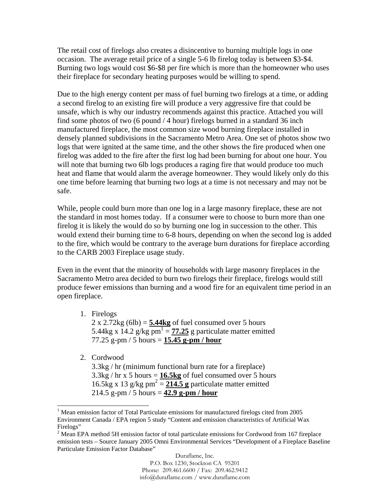The retail cost of firelogs also creates a disincentive to burning multiple logs in one occasion. The average retail price of a single 5-6 lb firelog today is between \$3-\$4. Burning two logs would cost \$6-\$8 per fire which is more than the homeowner who uses their fireplace for secondary heating purposes would be willing to spend.

Due to the high energy content per mass of fuel burning two firelogs at a time, or adding a second firelog to an existing fire will produce a very aggressive fire that could be unsafe, which is why our industry recommends against this practice. Attached you will find some photos of two (6 pound / 4 hour) firelogs burned in a standard 36 inch manufactured fireplace, the most common size wood burning fireplace installed in densely planned subdivisions in the Sacramento Metro Area. One set of photos show two logs that were ignited at the same time, and the other shows the fire produced when one firelog was added to the fire after the first log had been burning for about one hour. You will note that burning two 6lb logs produces a raging fire that would produce too much heat and flame that would alarm the average homeowner. They would likely only do this one time before learning that burning two logs at a time is not necessary and may not be safe.

While, people could burn more than one log in a large masonry fireplace, these are not the standard in most homes today. If a consumer were to choose to burn more than one firelog it is likely the would do so by burning one log in succession to the other. This would extend their burning time to 6-8 hours, depending on when the second log is added to the fire, which would be contrary to the average burn durations for fireplace according to the CARB 2003 Fireplace usage study.

Even in the event that the minority of households with large masonry fireplaces in the Sacramento Metro area decided to burn two firelogs their fireplace, firelogs would still produce fewer emissions than burning and a wood fire for an equivalent time period in an open fireplace.

- 1. Firelogs  $2 \times 2.72$ kg (6lb) = **5.44kg** of fuel consumed over 5 hours 5.44kg x 14.2  $g/kg$   $\overline{pm^1} = 77.25$  g particulate matter emitted 77.25 g-pm / 5 hours = **15.45 g-pm / hour**
- 2. Cordwood 3.3kg / hr (minimum functional burn rate for a fireplace)  $3.3\text{kg}$  / hr x 5 hours =  $16.5\text{kg}$  of fuel consumed over 5 hours 16.5kg x 13 g/kg  $pm^2 = 214.5$  g particulate matter emitted 214.5 g-pm / 5 hours = **42.9 g-pm / hour**

l

<sup>&</sup>lt;sup>1</sup> Mean emission factor of Total Particulate emissions for manufactured firelogs cited from 2005 Environment Canada / EPA region 5 study "Content and emission characteristics of Artificial Wax Firelogs"

 $2$  Mean EPA method 5H emission factor of total particulate emissions for Cordwood from 167 fireplace emission tests – Source January 2005 Omni Environmental Services "Development of a Fireplace Baseline Particulate Emission Factor Database"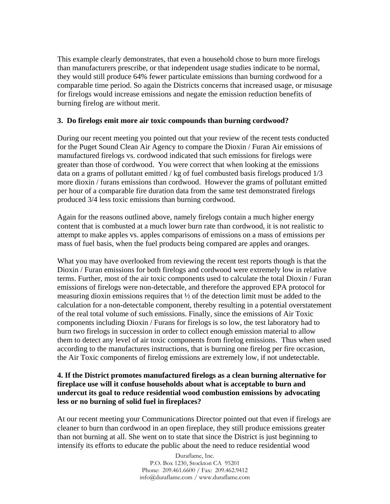This example clearly demonstrates, that even a household chose to burn more firelogs than manufacturers prescribe, or that independent usage studies indicate to be normal, they would still produce 64% fewer particulate emissions than burning cordwood for a comparable time period. So again the Districts concerns that increased usage, or misusage for firelogs would increase emissions and negate the emission reduction benefits of burning firelog are without merit.

# **3. Do firelogs emit more air toxic compounds than burning cordwood?**

During our recent meeting you pointed out that your review of the recent tests conducted for the Puget Sound Clean Air Agency to compare the Dioxin / Furan Air emissions of manufactured firelogs vs. cordwood indicated that such emissions for firelogs were greater than those of cordwood. You were correct that when looking at the emissions data on a grams of pollutant emitted / kg of fuel combusted basis firelogs produced 1/3 more dioxin / furans emissions than cordwood. However the grams of pollutant emitted per hour of a comparable fire duration data from the same test demonstrated firelogs produced 3/4 less toxic emissions than burning cordwood.

Again for the reasons outlined above, namely firelogs contain a much higher energy content that is combusted at a much lower burn rate than cordwood, it is not realistic to attempt to make apples vs. apples comparisons of emissions on a mass of emissions per mass of fuel basis, when the fuel products being compared are apples and oranges.

What you may have overlooked from reviewing the recent test reports though is that the Dioxin / Furan emissions for both firelogs and cordwood were extremely low in relative terms. Further, most of the air toxic components used to calculate the total Dioxin / Furan emissions of firelogs were non-detectable, and therefore the approved EPA protocol for measuring dioxin emissions requires that  $\frac{1}{2}$  of the detection limit must be added to the calculation for a non-detectable component, thereby resulting in a potential overstatement of the real total volume of such emissions. Finally, since the emissions of Air Toxic components including Dioxin / Furans for firelogs is so low, the test laboratory had to burn two firelogs in succession in order to collect enough emission material to allow them to detect any level of air toxic components from firelog emissions. Thus when used according to the manufactures instructions, that is burning one firelog per fire occasion, the Air Toxic components of firelog emissions are extremely low, if not undetectable.

# **4. If the District promotes manufactured firelogs as a clean burning alternative for fireplace use will it confuse households about what is acceptable to burn and undercut its goal to reduce residential wood combustion emissions by advocating less or no burning of solid fuel in fireplaces?**

At our recent meeting your Communications Director pointed out that even if firelogs are cleaner to burn than cordwood in an open fireplace, they still produce emissions greater than not burning at all. She went on to state that since the District is just beginning to intensify its efforts to educate the public about the need to reduce residential wood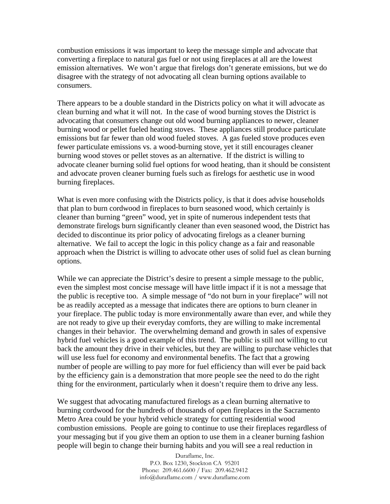combustion emissions it was important to keep the message simple and advocate that converting a fireplace to natural gas fuel or not using fireplaces at all are the lowest emission alternatives. We won't argue that firelogs don't generate emissions, but we do disagree with the strategy of not advocating all clean burning options available to consumers.

There appears to be a double standard in the Districts policy on what it will advocate as clean burning and what it will not. In the case of wood burning stoves the District is advocating that consumers change out old wood burning appliances to newer, cleaner burning wood or pellet fueled heating stoves. These appliances still produce particulate emissions but far fewer than old wood fueled stoves. A gas fueled stove produces even fewer particulate emissions vs. a wood-burning stove, yet it still encourages cleaner burning wood stoves or pellet stoves as an alternative. If the district is willing to advocate cleaner burning solid fuel options for wood heating, than it should be consistent and advocate proven cleaner burning fuels such as firelogs for aesthetic use in wood burning fireplaces.

What is even more confusing with the Districts policy, is that it does advise households that plan to burn cordwood in fireplaces to burn seasoned wood, which certainly is cleaner than burning "green" wood, yet in spite of numerous independent tests that demonstrate firelogs burn significantly cleaner than even seasoned wood, the District has decided to discontinue its prior policy of advocating firelogs as a cleaner burning alternative. We fail to accept the logic in this policy change as a fair and reasonable approach when the District is willing to advocate other uses of solid fuel as clean burning options.

While we can appreciate the District's desire to present a simple message to the public, even the simplest most concise message will have little impact if it is not a message that the public is receptive too. A simple message of "do not burn in your fireplace" will not be as readily accepted as a message that indicates there are options to burn cleaner in your fireplace. The public today is more environmentally aware than ever, and while they are not ready to give up their everyday comforts, they are willing to make incremental changes in their behavior. The overwhelming demand and growth in sales of expensive hybrid fuel vehicles is a good example of this trend. The public is still not willing to cut back the amount they drive in their vehicles, but they are willing to purchase vehicles that will use less fuel for economy and environmental benefits. The fact that a growing number of people are willing to pay more for fuel efficiency than will ever be paid back by the efficiency gain is a demonstration that more people see the need to do the right thing for the environment, particularly when it doesn't require them to drive any less.

We suggest that advocating manufactured firelogs as a clean burning alternative to burning cordwood for the hundreds of thousands of open fireplaces in the Sacramento Metro Area could be your hybrid vehicle strategy for cutting residential wood combustion emissions. People are going to continue to use their fireplaces regardless of your messaging but if you give them an option to use them in a cleaner burning fashion people will begin to change their burning habits and you will see a real reduction in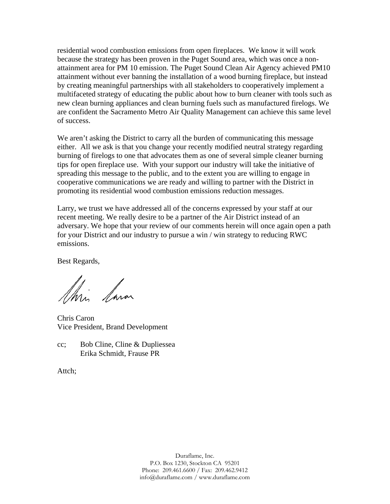residential wood combustion emissions from open fireplaces. We know it will work because the strategy has been proven in the Puget Sound area, which was once a nonattainment area for PM 10 emission. The Puget Sound Clean Air Agency achieved PM10 attainment without ever banning the installation of a wood burning fireplace, but instead by creating meaningful partnerships with all stakeholders to cooperatively implement a multifaceted strategy of educating the public about how to burn cleaner with tools such as new clean burning appliances and clean burning fuels such as manufactured firelogs. We are confident the Sacramento Metro Air Quality Management can achieve this same level of success.

We aren't asking the District to carry all the burden of communicating this message either. All we ask is that you change your recently modified neutral strategy regarding burning of firelogs to one that advocates them as one of several simple cleaner burning tips for open fireplace use. With your support our industry will take the initiative of spreading this message to the public, and to the extent you are willing to engage in cooperative communications we are ready and willing to partner with the District in promoting its residential wood combustion emissions reduction messages.

Larry, we trust we have addressed all of the concerns expressed by your staff at our recent meeting. We really desire to be a partner of the Air District instead of an adversary. We hope that your review of our comments herein will once again open a path for your District and our industry to pursue a win / win strategy to reducing RWC emissions.

Best Regards,

this larar

Chris Caron Vice President, Brand Development

cc; Bob Cline, Cline & Dupliessea Erika Schmidt, Frause PR

Attch;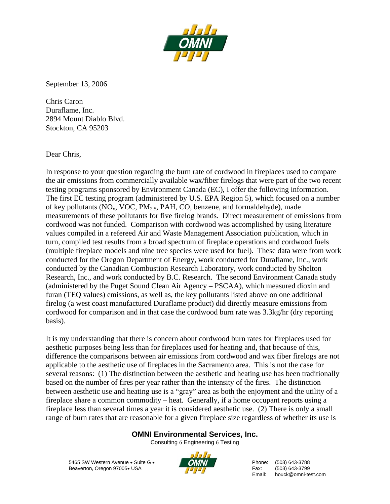

September 13, 2006

Chris Caron Duraflame, Inc. 2894 Mount Diablo Blvd. Stockton, CA 95203

Dear Chris,

In response to your question regarding the burn rate of cordwood in fireplaces used to compare the air emissions from commercially available wax/fiber firelogs that were part of the two recent testing programs sponsored by Environment Canada (EC), I offer the following information. The first EC testing program (administered by U.S. EPA Region 5), which focused on a number of key pollutants ( $NO_x$ ,  $VOC$ ,  $PM_2$ ,  $PAH$ ,  $CO$ , benzene, and formaldehyde), made measurements of these pollutants for five firelog brands. Direct measurement of emissions from cordwood was not funded. Comparison with cordwood was accomplished by using literature values compiled in a refereed Air and Waste Management Association publication, which in turn, compiled test results from a broad spectrum of fireplace operations and cordwood fuels (multiple fireplace models and nine tree species were used for fuel). These data were from work conducted for the Oregon Department of Energy, work conducted for Duraflame, Inc., work conducted by the Canadian Combustion Research Laboratory, work conducted by Shelton Research, Inc., and work conducted by B.C. Research. The second Environment Canada study (administered by the Puget Sound Clean Air Agency – PSCAA), which measured dioxin and furan (TEQ values) emissions, as well as, the key pollutants listed above on one additional firelog (a west coast manufactured Duraflame product) did directly measure emissions from cordwood for comparison and in that case the cordwood burn rate was 3.3kg/hr (dry reporting basis).

It is my understanding that there is concern about cordwood burn rates for fireplaces used for aesthetic purposes being less than for fireplaces used for heating and, that because of this, difference the comparisons between air emissions from cordwood and wax fiber firelogs are not applicable to the aesthetic use of fireplaces in the Sacramento area. This is not the case for several reasons: (1) The distinction between the aesthetic and heating use has been traditionally based on the number of fires per year rather than the intensity of the fires. The distinction between aesthetic use and heating use is a "gray" area as both the enjoyment and the utility of a fireplace share a common commodity – heat. Generally, if a home occupant reports using a fireplace less than several times a year it is considered aesthetic use. (2) There is only a small range of burn rates that are reasonable for a given fireplace size regardless of whether its use is

# **OMNI Environmental Services, Inc.**

Consulting 6 Engineering 6 Testing

5465 SW Western Avenue • Suite G • **Phone:** (503) 643-3788 Beaverton, Oregon 97005• USA Fax: (503) 643-3799



Email: houck@omni-test.com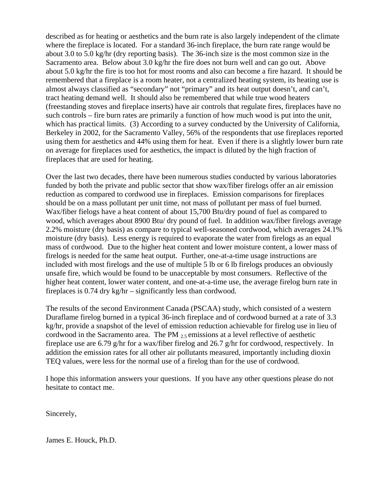described as for heating or aesthetics and the burn rate is also largely independent of the climate where the fireplace is located. For a standard 36-inch fireplace, the burn rate range would be about 3.0 to 5.0 kg/hr (dry reporting basis). The 36-inch size is the most common size in the Sacramento area. Below about 3.0 kg/hr the fire does not burn well and can go out. Above about 5.0 kg/hr the fire is too hot for most rooms and also can become a fire hazard. It should be remembered that a fireplace is a room heater, not a centralized heating system, its heating use is almost always classified as "secondary" not "primary" and its heat output doesn't, and can't, tract heating demand well. It should also be remembered that while true wood heaters (freestanding stoves and fireplace inserts) have air controls that regulate fires, fireplaces have no such controls – fire burn rates are primarily a function of how much wood is put into the unit, which has practical limits. (3) According to a survey conducted by the University of California, Berkeley in 2002, for the Sacramento Valley, 56% of the respondents that use fireplaces reported using them for aesthetics and 44% using them for heat. Even if there is a slightly lower burn rate on average for fireplaces used for aesthetics, the impact is diluted by the high fraction of fireplaces that are used for heating.

Over the last two decades, there have been numerous studies conducted by various laboratories funded by both the private and public sector that show wax/fiber firelogs offer an air emission reduction as compared to cordwood use in fireplaces. Emission comparisons for fireplaces should be on a mass pollutant per unit time, not mass of pollutant per mass of fuel burned. Wax/fiber fielogs have a heat content of about 15,700 Btu/dry pound of fuel as compared to wood, which averages about 8900 Btu/ dry pound of fuel. In addition wax/fiber firelogs average 2.2% moisture (dry basis) as compare to typical well-seasoned cordwood, which averages 24.1% moisture (dry basis). Less energy is required to evaporate the water from firelogs as an equal mass of cordwood. Due to the higher heat content and lower moisture content, a lower mass of firelogs is needed for the same heat output. Further, one-at-a-time usage instructions are included with most firelogs and the use of multiple 5 lb or 6 lb firelogs produces an obviously unsafe fire, which would be found to be unacceptable by most consumers. Reflective of the higher heat content, lower water content, and one-at-a-time use, the average firelog burn rate in fireplaces is 0.74 dry kg/hr – significantly less than cordwood.

The results of the second Environment Canada (PSCAA) study, which consisted of a western Duraflame firelog burned in a typical 36-inch fireplace and of cordwood burned at a rate of 3.3 kg/hr, provide a snapshot of the level of emission reduction achievable for firelog use in lieu of cordwood in the Sacramento area. The PM  $_{2.5}$  emissions at a level reflective of aesthetic fireplace use are 6.79 g/hr for a wax/fiber firelog and 26.7 g/hr for cordwood, respectively. In addition the emission rates for all other air pollutants measured, importantly including dioxin TEQ values, were less for the normal use of a firelog than for the use of cordwood.

I hope this information answers your questions. If you have any other questions please do not hesitate to contact me.

Sincerely,

James E. Houck, Ph.D.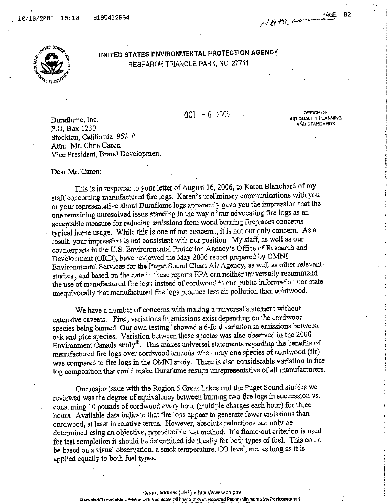

UNITED STATES ENVIRONMENTAL PROTECTION AGENCY RESEARCH TRIANGLE PARK, NC 27711

 $0C1 - 6$  2006

OFFICE OF AIR QUALITY PLANNING AND STANDARDS

PAGE

82

Duraflame, Inc. P.O. Box 1230 Stockton, California 95210 Attn: Mr. Chris Caron Vice President, Brand Development

Dear Mr. Caron:

This is in response to your letter of August 16, 2006, to Karen Blanchard of my staff concerning manufactured fire logs. Karen's preliminary communications with you or your representative about Duraflame logs apparently gave you the impression that the one remaining unresolved issue standing in the way of our advocating fire logs as an acceptable measure for reducing emissions from wood burning fireplaces concerns typical home usage. While this is one of our concerns, it is not our only concern. As a result, your impression is not consistent with our position. My staff, as well as our counterparts in the U.S. Environmental Protection Agency's Office of Research and Development (ORD), have reviewed the May 2006 report prepared by OMNI Environmental Services for the Puget Sound Clean Air Agency, as well as other relevant studies<sup>1</sup>, and based on the data in these reports EPA can neither universally recommend the use of manufactured fire logs instead of cordwood in our public information nor state unequivocally that manufactured fire logs produce less air pollution than cordwood.

We have a number of concerns with making a miversal statement without extensive caveats. First, variations in emissions exist depending on the cordwood species being burned. Our own testing<sup>ii</sup> showed a 6-fold variation in emissions between oak and pine species. Variation between these species was also observed in the 2000 Environment Canada study<sup>iii</sup>. This makes universal statements regarding the benefits of manufactured fire logs over cordwood tenuous when only one species of cordwood (fir) was compared to fire logs in the OMNI study. There is also considerable variation in fire log composition that could make Duraflame results unrepresentative of all manufacturers.

Our major issue with the Region 5 Great Lakes and the Puget Sound studies we reviewed was the degree of equivalency between burning two fire logs in succession vs. consuming 10 pounds of cordwood every hour (multiple charges each hour) for three hours. Available data indicate that fire logs appear to generate fewer emissions than cordwood, at least in relative terms. However, absolute reductions can only be determined using an objective, reproducible test method. If a flame-out criterion is used for test completion it should be determined identically for both types of fuel. This could be based on a visual observation, a stack temperature, CO level, etc. as long as it is applied equally to both fuel types.